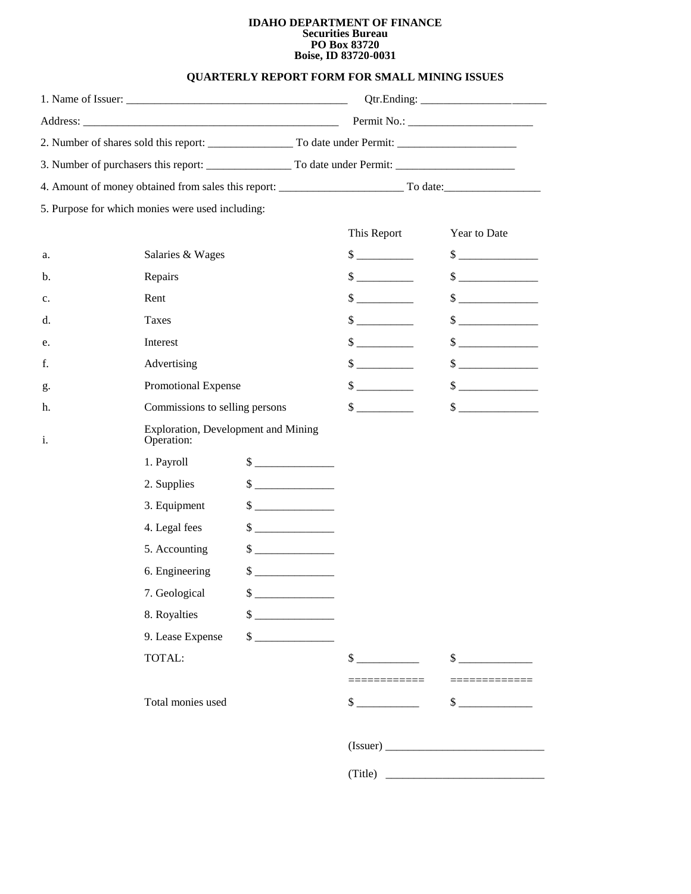## **IDAHO DEPARTMENT OF FINANCE Securities Bureau PO Box 83720 Boise, ID 83720-0031**

## **QUARTERLY REPORT FORM FOR SMALL MINING ISSUES**

|    |                                                   |                             | This Report                 | Year to Date                |  |
|----|---------------------------------------------------|-----------------------------|-----------------------------|-----------------------------|--|
| a. | Salaries & Wages                                  |                             | $\frac{\text{S}}{\text{S}}$ | $\frac{1}{2}$               |  |
| b. | Repairs                                           |                             | $\frac{\text{S}}{\text{S}}$ | $\frac{1}{2}$               |  |
| c. | Rent                                              |                             | $\frac{\text{S}}{\text{S}}$ | $\frac{1}{2}$               |  |
| d. | Taxes                                             |                             | $\sim$                      | $\frac{\text{S}}{\text{S}}$ |  |
| e. | Interest                                          |                             | $\sim$                      | $\sim$                      |  |
| f. | Advertising                                       |                             | $\frac{\text{S}}{\text{S}}$ | $\frac{\text{S}}{\text{S}}$ |  |
| g. | Promotional Expense                               |                             | $\frac{\text{S}}{\text{S}}$ | $\frac{1}{1}$               |  |
| h. | Commissions to selling persons                    |                             | $\sim$                      | $\sim$                      |  |
| i. | Exploration, Development and Mining<br>Operation: |                             |                             |                             |  |
|    | 1. Payroll                                        |                             |                             |                             |  |
|    | 2. Supplies                                       | $\frac{\text{S}}{\text{S}}$ |                             |                             |  |
|    | 3. Equipment                                      | $\sim$                      |                             |                             |  |
|    | 4. Legal fees                                     | $\frac{1}{2}$               |                             |                             |  |
|    | 5. Accounting                                     | $\sim$                      |                             |                             |  |
|    | 6. Engineering                                    | $\frac{\text{S}}{\text{S}}$ |                             |                             |  |
|    | 7. Geological                                     | $\mathbf{\hat{s}}$          |                             |                             |  |
|    | 8. Royalties                                      | $\frac{1}{2}$               |                             |                             |  |
|    | 9. Lease Expense                                  | $\frac{1}{2}$               |                             |                             |  |
|    | TOTAL:                                            |                             | $\sim$                      | $\frac{\text{S}}{\text{S}}$ |  |
|    |                                                   |                             | -----------                 |                             |  |
|    | Total monies used                                 |                             | $\frac{\text{S}}{\text{S}}$ | $\frac{\text{S}}{\text{S}}$ |  |
|    |                                                   |                             |                             |                             |  |
|    |                                                   |                             |                             | (Title)                     |  |